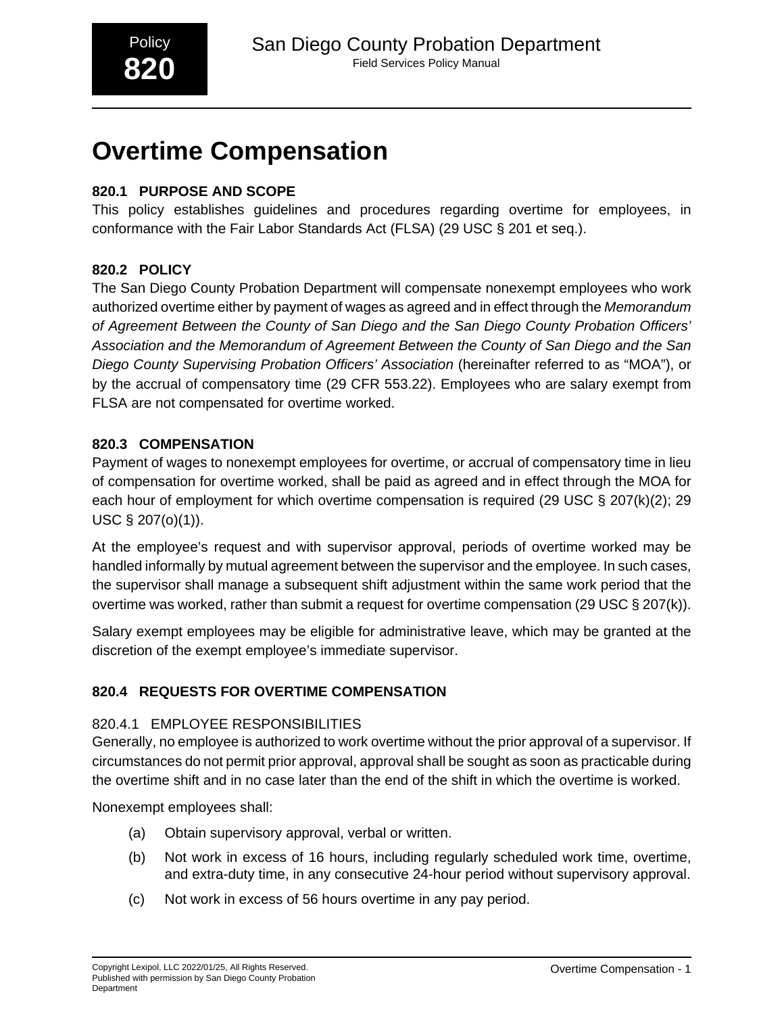# **Overtime Compensation**

# **820.1 PURPOSE AND SCOPE**

This policy establishes guidelines and procedures regarding overtime for employees, in conformance with the Fair Labor Standards Act (FLSA) (29 USC § 201 et seq.).

# **820.2 POLICY**

The San Diego County Probation Department will compensate nonexempt employees who work authorized overtime either by payment of wages as agreed and in effect through the Memorandum of Agreement Between the County of San Diego and the San Diego County Probation Officers' Association and the Memorandum of Agreement Between the County of San Diego and the San Diego County Supervising Probation Officers' Association (hereinafter referred to as "MOA"), or by the accrual of compensatory time (29 CFR 553.22). Employees who are salary exempt from FLSA are not compensated for overtime worked.

# **820.3 COMPENSATION**

Payment of wages to nonexempt employees for overtime, or accrual of compensatory time in lieu of compensation for overtime worked, shall be paid as agreed and in effect through the MOA for each hour of employment for which overtime compensation is required (29 USC § 207(k)(2); 29 USC § 207(o)(1)).

At the employee's request and with supervisor approval, periods of overtime worked may be handled informally by mutual agreement between the supervisor and the employee. In such cases, the supervisor shall manage a subsequent shift adjustment within the same work period that the overtime was worked, rather than submit a request for overtime compensation (29 USC § 207(k)).

Salary exempt employees may be eligible for administrative leave, which may be granted at the discretion of the exempt employee's immediate supervisor.

# **820.4 REQUESTS FOR OVERTIME COMPENSATION**

# 820.4.1 EMPLOYEE RESPONSIBILITIES

Generally, no employee is authorized to work overtime without the prior approval of a supervisor. If circumstances do not permit prior approval, approval shall be sought as soon as practicable during the overtime shift and in no case later than the end of the shift in which the overtime is worked.

Nonexempt employees shall:

- (a) Obtain supervisory approval, verbal or written.
- (b) Not work in excess of 16 hours, including regularly scheduled work time, overtime, and extra-duty time, in any consecutive 24-hour period without supervisory approval.
- (c) Not work in excess of 56 hours overtime in any pay period.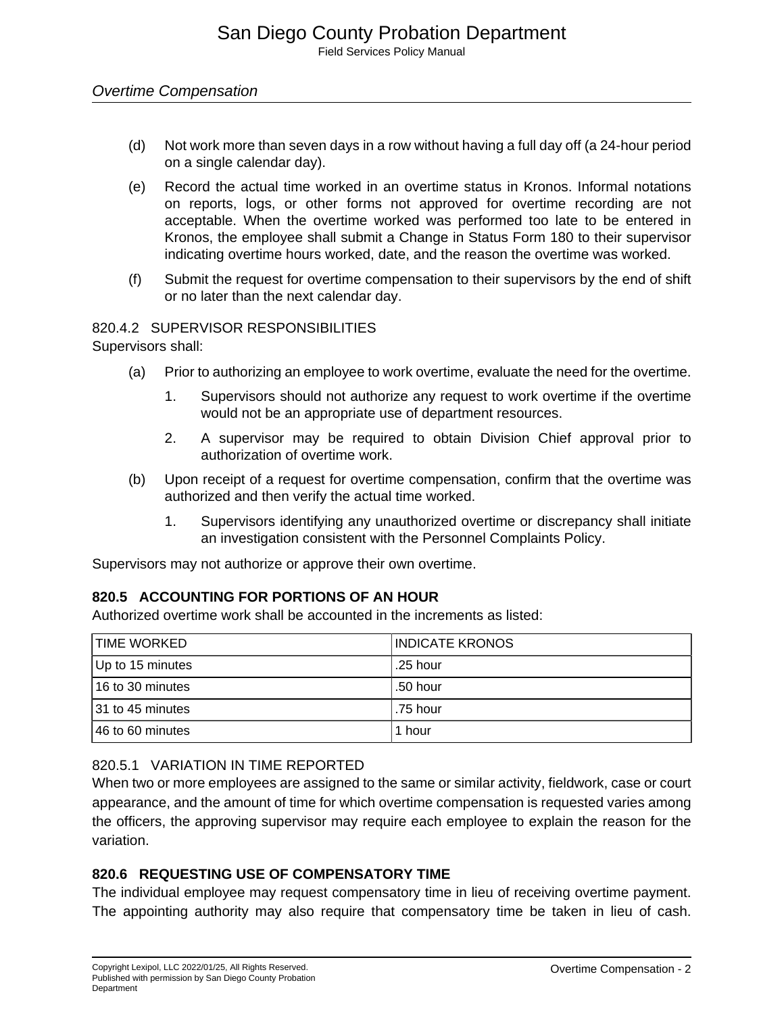## Overtime Compensation

- (d) Not work more than seven days in a row without having a full day off (a 24-hour period on a single calendar day).
- (e) Record the actual time worked in an overtime status in Kronos. Informal notations on reports, logs, or other forms not approved for overtime recording are not acceptable. When the overtime worked was performed too late to be entered in Kronos, the employee shall submit a Change in Status Form 180 to their supervisor indicating overtime hours worked, date, and the reason the overtime was worked.
- (f) Submit the request for overtime compensation to their supervisors by the end of shift or no later than the next calendar day.

#### 820.4.2 SUPERVISOR RESPONSIBILITIES

Supervisors shall:

- (a) Prior to authorizing an employee to work overtime, evaluate the need for the overtime.
	- 1. Supervisors should not authorize any request to work overtime if the overtime would not be an appropriate use of department resources.
	- 2. A supervisor may be required to obtain Division Chief approval prior to authorization of overtime work.
- (b) Upon receipt of a request for overtime compensation, confirm that the overtime was authorized and then verify the actual time worked.
	- 1. Supervisors identifying any unauthorized overtime or discrepancy shall initiate an investigation consistent with the Personnel Complaints Policy.

Supervisors may not authorize or approve their own overtime.

## **820.5 ACCOUNTING FOR PORTIONS OF AN HOUR**

Authorized overtime work shall be accounted in the increments as listed:

| <b>TIME WORKED</b> | INDICATE KRONOS |
|--------------------|-----------------|
| Up to 15 minutes   | .25 hour        |
| l 16 to 30 minutes | .50 hour        |
| 31 to 45 minutes   | .75 hour        |
| 46 to 60 minutes   | 1 hour          |

## 820.5.1 VARIATION IN TIME REPORTED

When two or more employees are assigned to the same or similar activity, fieldwork, case or court appearance, and the amount of time for which overtime compensation is requested varies among the officers, the approving supervisor may require each employee to explain the reason for the variation.

## **820.6 REQUESTING USE OF COMPENSATORY TIME**

The individual employee may request compensatory time in lieu of receiving overtime payment. The appointing authority may also require that compensatory time be taken in lieu of cash.